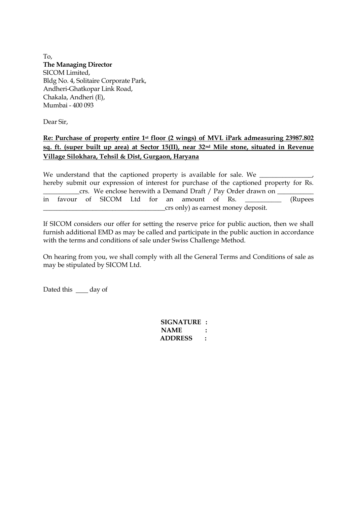To, **The Managing Director**  SICOM Limited, Bldg No. 4, Solitaire Corporate Park, Andheri-Ghatkopar Link Road, Chakala, Andheri (E), Mumbai - 400 093

Dear Sir,

## **Re: Purchase of property entire 1st floor (2 wings) of MVL iPark admeasuring 23987.802 sq. ft. (super built up area) at Sector 15(II), near 32nd Mile stone, situated in Revenue Village Silokhara, Tehsil & Dist, Gurgaon, Haryana**

We understand that the captioned property is available for sale. We hereby submit our expression of interest for purchase of the captioned property for Rs. crs. We enclose herewith a Demand Draft / Pay Order drawn on \_\_\_\_\_\_\_\_\_\_\_\_\_\_\_\_\_\_\_\_ in favour of SICOM Ltd for an amount of Rs. \_\_\_\_\_\_\_\_\_\_\_ (Rupees \_\_\_\_\_\_\_\_\_\_\_\_\_\_\_\_\_\_\_\_\_\_\_\_\_\_\_\_\_\_\_\_\_\_\_\_\_crs only) as earnest money deposit.

If SICOM considers our offer for setting the reserve price for public auction, then we shall furnish additional EMD as may be called and participate in the public auction in accordance with the terms and conditions of sale under Swiss Challenge Method.

On hearing from you, we shall comply with all the General Terms and Conditions of sale as may be stipulated by SICOM Ltd.

Dated this \_\_\_\_ day of

 **SIGNATURE : NAME : ADDRESS :**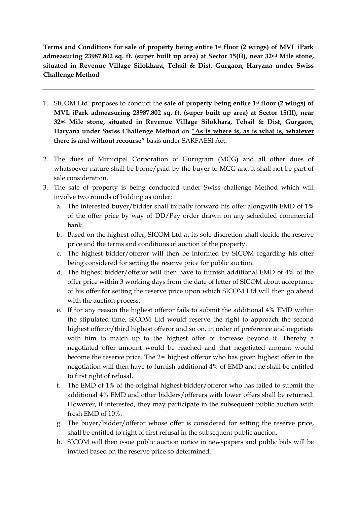**Terms and Conditions for sale of property being entire 1st floor (2 wings) of MVL iPark admeasuring 23987.802 sq. ft. (super built up area) at Sector 15(II), near 32nd Mile stone, situated in Revenue Village Silokhara, Tehsil & Dist, Gurgaon, Haryana under Swiss Challenge Method**

- 1. SICOM Ltd. proposes to conduct the **sale of property being entire 1st floor (2 wings) of MVL iPark admeasuring 23987.802 sq. ft. (super built up area) at Sector 15(II), near 32nd Mile stone, situated in Revenue Village Silokhara, Tehsil & Dist, Gurgaon, Haryana under Swiss Challenge Method** on "**As is where is, as is what is, whatever there is and without recourse"** basis under SARFAESI Act.
- 2. The dues of Municipal Corporation of Gurugram (MCG) and all other dues of whatsoever nature shall be borne/paid by the buyer to MCG and it shall not be part of sale consideration.
- 3. The sale of property is being conducted under Swiss challenge Method which will involve two rounds of bidding as under:
	- a. The interested buyer/bidder shall initially forward his offer alongwith EMD of 1% of the offer price by way of DD/Pay order drawn on any scheduled commercial bank.
	- b. Based on the highest offer, SICOM Ltd at its sole discretion shall decide the reserve price and the terms and conditions of auction of the property.
	- c. The highest bidder/offeror will then be informed by SICOM regarding his offer being considered for setting the reserve price for public auction.
	- d. The highest bidder/offeror will then have to furnish additional EMD of 4% of the offer price within 3 working days from the date of letter of SICOM about acceptance of his offer for setting the reserve price upon which SICOM Ltd will then go ahead with the auction process.
	- e. If for any reason the highest offeror fails to submit the additional 4% EMD within the stipulated time, SICOM Ltd would reserve the right to approach the second highest offeror/third highest offeror and so on, in order of preference and negotiate with him to match up to the highest offer or increase beyond it. Thereby a negotiated offer amount would be reached and that negotiated amount would become the reserve price. The 2nd highest offeror who has given highest offer in the negotiation will then have to furnish additional 4% of EMD and he shall be entitled to first right of refusal.
	- f. The EMD of 1% of the original highest bidder/offeror who has failed to submit the additional 4% EMD and other bidders/offerers with lower offers shall be returned. However, if interested, they may participate in the subsequent public auction with fresh EMD of 10%.
	- g. The buyer/bidder/offeror whose offer is considered for setting the reserve price, shall be entitled to right of first refusal in the subsequent public auction.
	- h. SICOM will then issue public auction notice in newspapers and public bids will be invited based on the reserve price so determined.